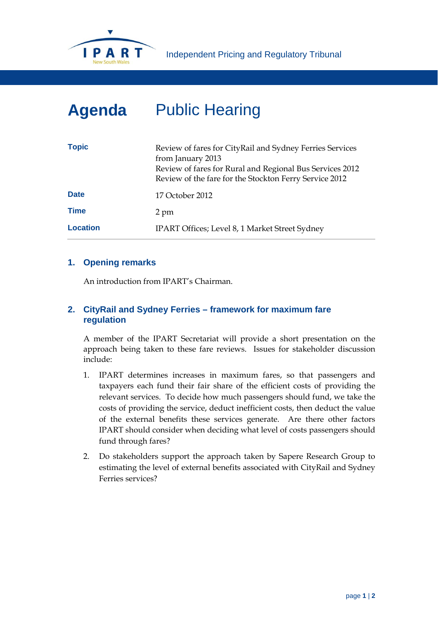

# **Agenda** Public Hearing

| <b>Topic</b>    | Review of fares for CityRail and Sydney Ferries Services<br>from January 2013<br>Review of fares for Rural and Regional Bus Services 2012<br>Review of the fare for the Stockton Ferry Service 2012 |
|-----------------|-----------------------------------------------------------------------------------------------------------------------------------------------------------------------------------------------------|
| <b>Date</b>     | 17 October 2012                                                                                                                                                                                     |
| <b>Time</b>     | 2 pm                                                                                                                                                                                                |
| <b>Location</b> | IPART Offices; Level 8, 1 Market Street Sydney                                                                                                                                                      |

### **1. Opening remarks**

An introduction from IPART's Chairman.

# **2. CityRail and Sydney Ferries – framework for maximum fare regulation**

A member of the IPART Secretariat will provide a short presentation on the approach being taken to these fare reviews. Issues for stakeholder discussion include:

- 1. IPART determines increases in maximum fares, so that passengers and taxpayers each fund their fair share of the efficient costs of providing the relevant services. To decide how much passengers should fund, we take the costs of providing the service, deduct inefficient costs, then deduct the value of the external benefits these services generate. Are there other factors IPART should consider when deciding what level of costs passengers should fund through fares?
- 2. Do stakeholders support the approach taken by Sapere Research Group to estimating the level of external benefits associated with CityRail and Sydney Ferries services?